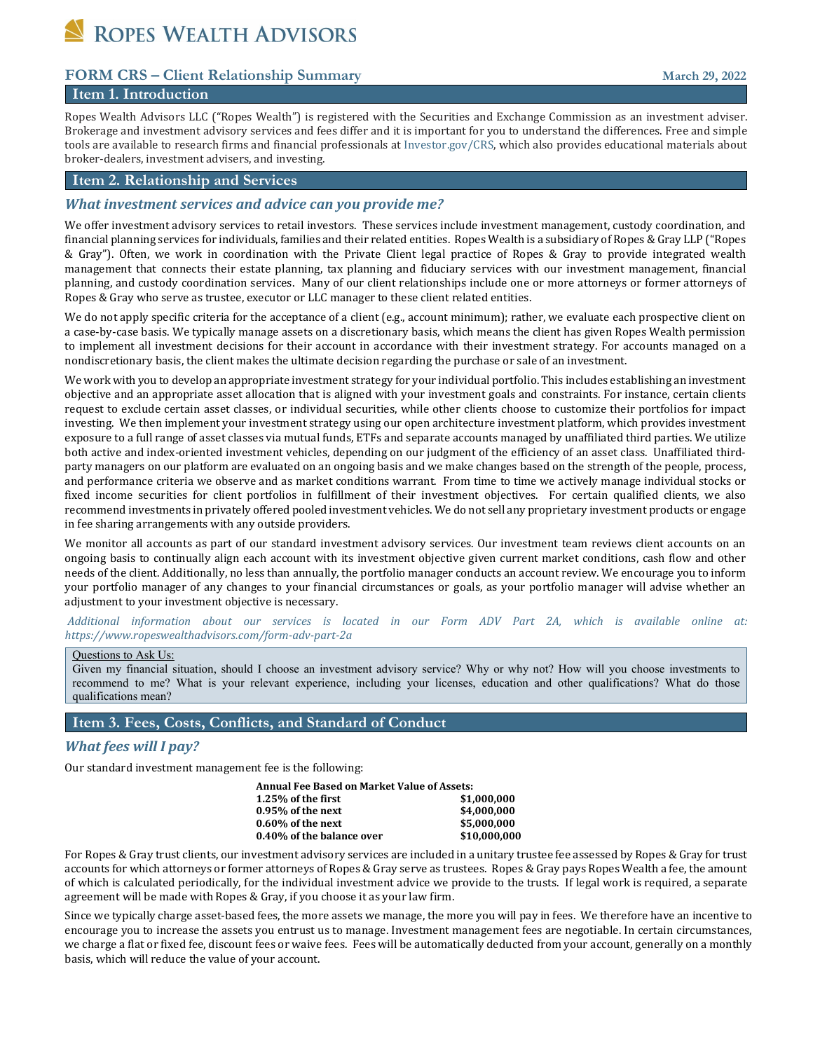ROPES WEALTH ADVISORS

## **FORM CRS – Client Relationship Summary March 29, 2022**

## **Item 1. Introduction**

Ropes Wealth Advisors LLC ("Ropes Wealth") is registered with the Securities and Exchange Commission as an investment adviser. Brokerage and investment advisory services and fees differ and it is important for you to understand the differences. Free and simple tools are available to research firms and financial professionals a[t Investor.gov/CRS,](http://investor.gov/CRS) which also provides educational materials about broker-dealers, investment advisers, and investing.

## **Item 2. Relationship and Services**

### *What investment services and advice can you provide me?*

We offer investment advisory services to retail investors. These services include investment management, custody coordination, and financial planning services for individuals, families and their related entities. Ropes Wealth is a subsidiary of Ropes & Gray LLP ("Ropes & Gray"). Often, we work in coordination with the Private Client legal practice of Ropes & Gray to provide integrated wealth management that connects their estate planning, tax planning and fiduciary services with our investment management, financial planning, and custody coordination services. Many of our client relationships include one or more attorneys or former attorneys of Ropes & Gray who serve as trustee, executor or LLC manager to these client related entities.

We do not apply specific criteria for the acceptance of a client (e.g., account minimum); rather, we evaluate each prospective client on a case-by-case basis. We typically manage assets on a discretionary basis, which means the client has given Ropes Wealth permission to implement all investment decisions for their account in accordance with their investment strategy. For accounts managed on a nondiscretionary basis, the client makes the ultimate decision regarding the purchase or sale of an investment.

We work with you to develop an appropriate investment strategy for your individual portfolio. This includes establishing an investment objective and an appropriate asset allocation that is aligned with your investment goals and constraints. For instance, certain clients request to exclude certain asset classes, or individual securities, while other clients choose to customize their portfolios for impact investing. We then implement your investment strategy using our open architecture investment platform, which provides investment exposure to a full range of asset classes via mutual funds, ETFs and separate accounts managed by unaffiliated third parties. We utilize both active and index-oriented investment vehicles, depending on our judgment of the efficiency of an asset class. Unaffiliated thirdparty managers on our platform are evaluated on an ongoing basis and we make changes based on the strength of the people, process, and performance criteria we observe and as market conditions warrant. From time to time we actively manage individual stocks or fixed income securities for client portfolios in fulfillment of their investment objectives. For certain qualified clients, we also recommend investments in privately offered pooled investment vehicles. We do not sell any proprietary investment products or engage in fee sharing arrangements with any outside providers.

We monitor all accounts as part of our standard investment advisory services. Our investment team reviews client accounts on an ongoing basis to continually align each account with its investment objective given current market conditions, cash flow and other needs of the client. Additionally, no less than annually, the portfolio manager conducts an account review. We encourage you to inform your portfolio manager of any changes to your financial circumstances or goals, as your portfolio manager will advise whether an adjustment to your investment objective is necessary.

*Additional information about our services is located in our Form ADV Part 2A, which is available online at: https://www.ropeswealthadvisors.com/form-adv-part-2a*

#### Questions to Ask Us:

Given my financial situation, should I choose an investment advisory service? Why or why not? How will you choose investments to recommend to me? What is your relevant experience, including your licenses, education and other qualifications? What do those qualifications mean?

## **Item 3. Fees, Costs, Conflicts, and Standard of Conduct**

#### *What fees will I pay?*

Our standard investment management fee is the following:

| <b>Annual Fee Based on Market Value of Assets:</b> |              |
|----------------------------------------------------|--------------|
| $1.25\%$ of the first                              | \$1,000,000  |
| $0.95\%$ of the next                               | \$4.000.000  |
| $0.60\%$ of the next                               | \$5.000.000  |
| 0.40% of the balance over                          | \$10,000,000 |

For Ropes & Gray trust clients, our investment advisory services are included in a unitary trustee fee assessed by Ropes & Gray for trust accounts for which attorneys or former attorneys of Ropes & Gray serve as trustees. Ropes & Gray pays Ropes Wealth a fee, the amount of which is calculated periodically, for the individual investment advice we provide to the trusts. If legal work is required, a separate agreement will be made with Ropes & Gray, if you choose it as your law firm.

Since we typically charge asset-based fees, the more assets we manage, the more you will pay in fees. We therefore have an incentive to encourage you to increase the assets you entrust us to manage. Investment management fees are negotiable. In certain circumstances, we charge a flat or fixed fee, discount fees or waive fees. Fees will be automatically deducted from your account, generally on a monthly basis, which will reduce the value of your account.